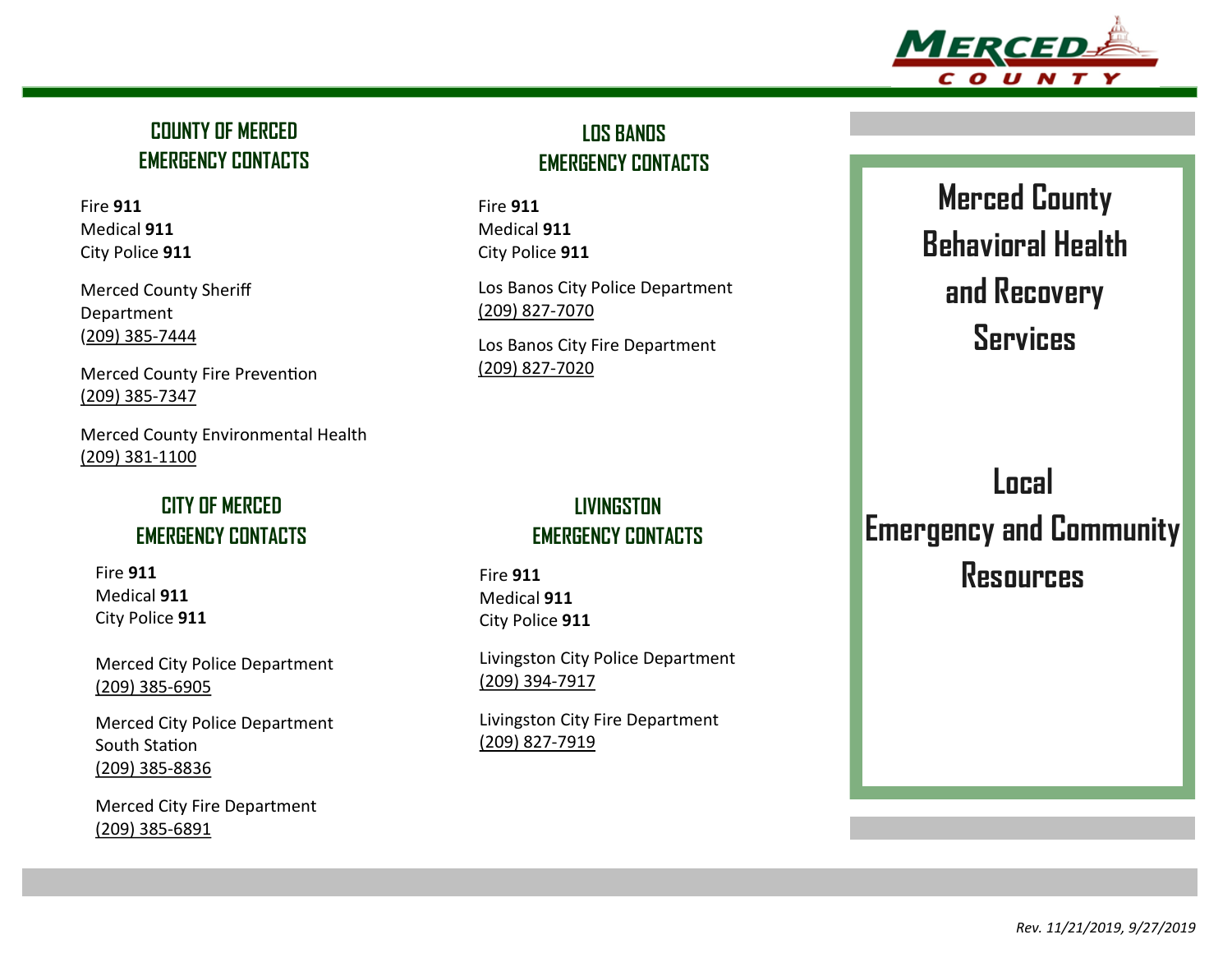

#### **COUNTY OF MERCED EMERGENCY CONTACTS**

Fire **911** Medical **911** City Police **911**

Merced County Sheriff Department (209) 385-7444

Merced County Fire Prevention (209) 385-7347

Merced County Environmental Health (209) 381-1100

#### **CITY OF MERCED EMERGENCY CONTACTS**

Fire **911** Medical **911** City Police **911**

Merced City Police Department (209) 385-6905

Merced City Police Department South Station (209) 385-8836

Merced City Fire Department (209) 385-6891

### **LOS BANOS EMERGENCY CONTACTS**

Fire **911** Medical **911** City Police **911**

Los Banos City Police Department (209) 827-7070

Los Banos City Fire Department (209) 827-7020

#### **LIVINGSTON EMERGENCY CONTACTS**

Fire **911** Medical **911** City Police **911**

Livingston City Police Department (209) 394-7917

Livingston City Fire Department (209) 827-7919

# **Merced County Behavioral Health and Recovery Services**

## **Local Emergency and Community Resources**

*Rev. 11/21/2019, 9/27/2019*